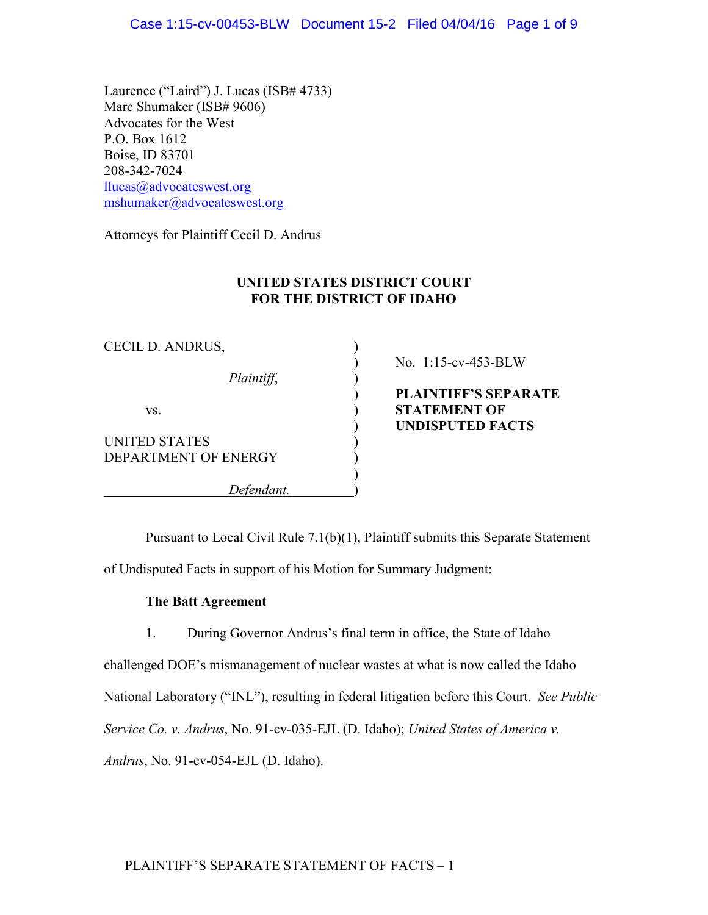Laurence ("Laird") J. Lucas (ISB# 4733) Marc Shumaker (ISB# 9606) Advocates for the West P.O. Box 1612 Boise, ID 83701 208-342-7024 [llucas@advocateswest.org](mailto:llucas@advocateswest.org) [mshumaker@advocateswest.org](mailto:mshumaker@advocateswest.org)

Attorneys for Plaintiff Cecil D. Andrus

# **UNITED STATES DISTRICT COURT FOR THE DISTRICT OF IDAHO**

| CECIL D. ANDRUS,                      |  |
|---------------------------------------|--|
| Plaintiff,                            |  |
| VS.                                   |  |
| UNITED STATES<br>DEPARTMENT OF ENERGY |  |
| Defendant.                            |  |

) No. 1:15-cv-453-BLW

) **PLAINTIFF'S SEPARATE STATEMENT OF** ) **UNDISPUTED FACTS**

Pursuant to Local Civil Rule 7.1(b)(1), Plaintiff submits this Separate Statement of Undisputed Facts in support of his Motion for Summary Judgment:

# **The Batt Agreement**

1. During Governor Andrus's final term in office, the State of Idaho challenged DOE's mismanagement of nuclear wastes at what is now called the Idaho National Laboratory ("INL"), resulting in federal litigation before this Court. *See Public Service Co. v. Andrus*, No. 91-cv-035-EJL (D. Idaho); *United States of America v. Andrus*, No. 91-cv-054-EJL (D. Idaho).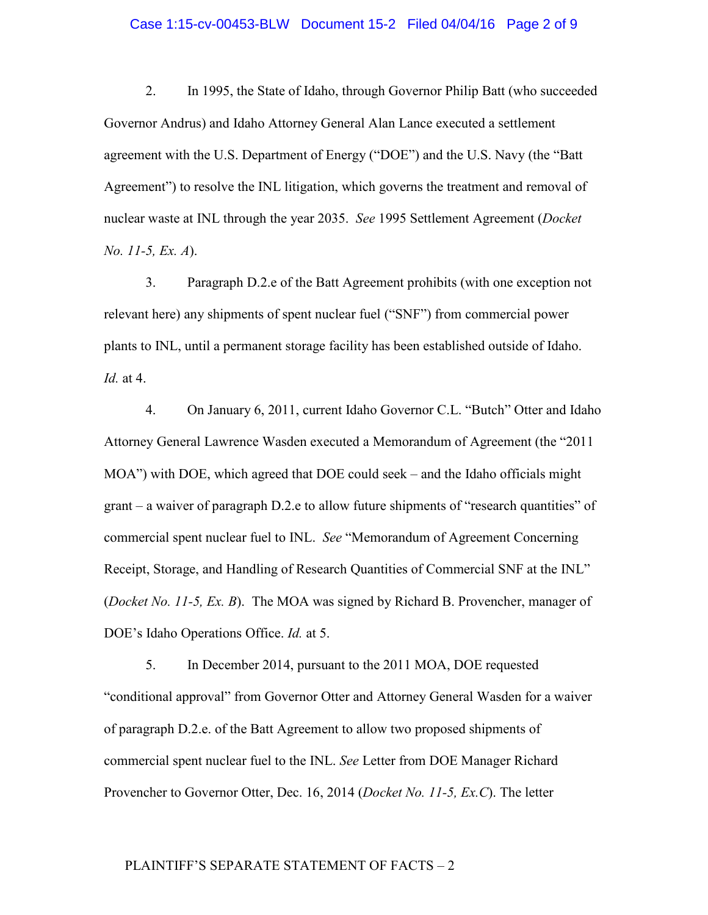#### Case 1:15-cv-00453-BLW Document 15-2 Filed 04/04/16 Page 2 of 9

2. In 1995, the State of Idaho, through Governor Philip Batt (who succeeded Governor Andrus) and Idaho Attorney General Alan Lance executed a settlement agreement with the U.S. Department of Energy ("DOE") and the U.S. Navy (the "Batt Agreement") to resolve the INL litigation, which governs the treatment and removal of nuclear waste at INL through the year 2035. *See* 1995 Settlement Agreement (*Docket No. 11-5, Ex. A*).

3. Paragraph D.2.e of the Batt Agreement prohibits (with one exception not relevant here) any shipments of spent nuclear fuel ("SNF") from commercial power plants to INL, until a permanent storage facility has been established outside of Idaho. *Id.* at 4.

4. On January 6, 2011, current Idaho Governor C.L. "Butch" Otter and Idaho Attorney General Lawrence Wasden executed a Memorandum of Agreement (the "2011 MOA") with DOE, which agreed that DOE could seek – and the Idaho officials might grant – a waiver of paragraph D.2.e to allow future shipments of "research quantities" of commercial spent nuclear fuel to INL. *See* "Memorandum of Agreement Concerning Receipt, Storage, and Handling of Research Quantities of Commercial SNF at the INL" (*Docket No. 11-5, Ex. B*). The MOA was signed by Richard B. Provencher, manager of DOE's Idaho Operations Office. *Id.* at 5.

5. In December 2014, pursuant to the 2011 MOA, DOE requested "conditional approval" from Governor Otter and Attorney General Wasden for a waiver of paragraph D.2.e. of the Batt Agreement to allow two proposed shipments of commercial spent nuclear fuel to the INL. *See* Letter from DOE Manager Richard Provencher to Governor Otter, Dec. 16, 2014 (*Docket No. 11-5, Ex.C*). The letter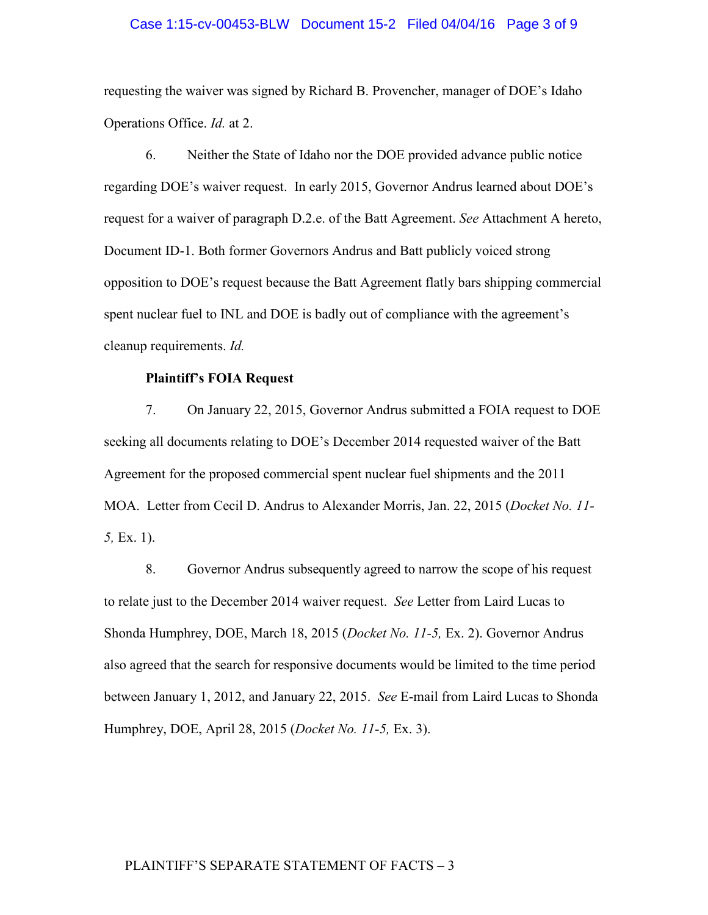#### Case 1:15-cv-00453-BLW Document 15-2 Filed 04/04/16 Page 3 of 9

requesting the waiver was signed by Richard B. Provencher, manager of DOE's Idaho Operations Office. *Id.* at 2.

6. Neither the State of Idaho nor the DOE provided advance public notice regarding DOE's waiver request. In early 2015, Governor Andrus learned about DOE's request for a waiver of paragraph D.2.e. of the Batt Agreement. *See* Attachment A hereto, Document ID-1. Both former Governors Andrus and Batt publicly voiced strong opposition to DOE's request because the Batt Agreement flatly bars shipping commercial spent nuclear fuel to INL and DOE is badly out of compliance with the agreement's cleanup requirements. *Id.*

### **Plaintiff's FOIA Request**

7. On January 22, 2015, Governor Andrus submitted a FOIA request to DOE seeking all documents relating to DOE's December 2014 requested waiver of the Batt Agreement for the proposed commercial spent nuclear fuel shipments and the 2011 MOA. Letter from Cecil D. Andrus to Alexander Morris, Jan. 22, 2015 (*Docket No. 11- 5,* Ex. 1).

8. Governor Andrus subsequently agreed to narrow the scope of his request to relate just to the December 2014 waiver request. *See* Letter from Laird Lucas to Shonda Humphrey, DOE, March 18, 2015 (*Docket No. 11-5,* Ex. 2). Governor Andrus also agreed that the search for responsive documents would be limited to the time period between January 1, 2012, and January 22, 2015. *See* E-mail from Laird Lucas to Shonda Humphrey, DOE, April 28, 2015 (*Docket No. 11-5,* Ex. 3).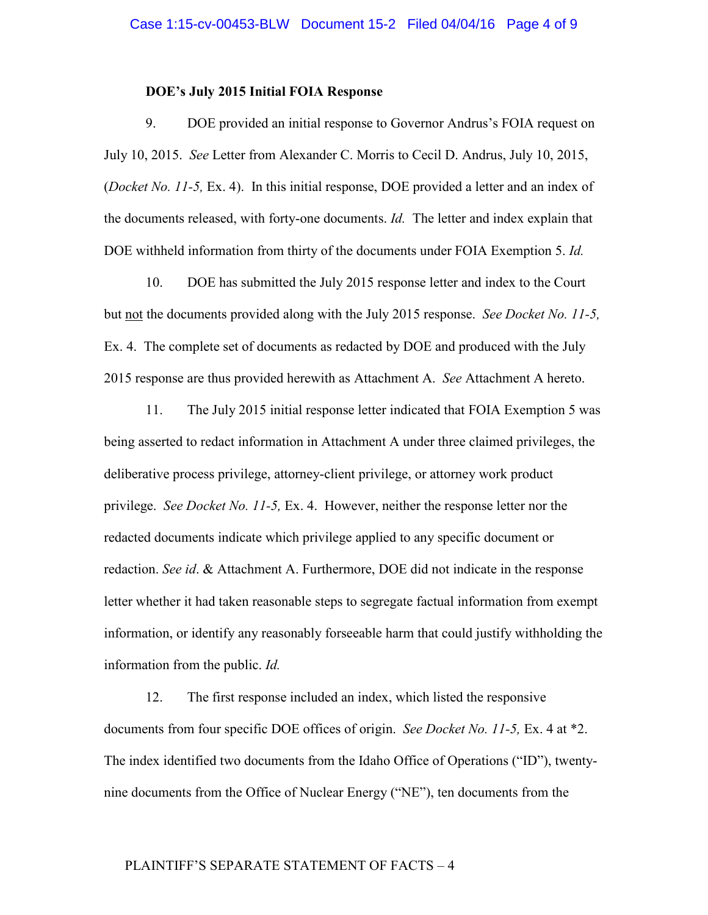### **DOE's July 2015 Initial FOIA Response**

9. DOE provided an initial response to Governor Andrus's FOIA request on July 10, 2015. *See* Letter from Alexander C. Morris to Cecil D. Andrus, July 10, 2015, (*Docket No. 11-5,* Ex. 4). In this initial response, DOE provided a letter and an index of the documents released, with forty-one documents. *Id.* The letter and index explain that DOE withheld information from thirty of the documents under FOIA Exemption 5. *Id.*

10. DOE has submitted the July 2015 response letter and index to the Court but not the documents provided along with the July 2015 response. *See Docket No. 11-5,*  Ex. 4. The complete set of documents as redacted by DOE and produced with the July 2015 response are thus provided herewith as Attachment A. *See* Attachment A hereto.

11. The July 2015 initial response letter indicated that FOIA Exemption 5 was being asserted to redact information in Attachment A under three claimed privileges, the deliberative process privilege, attorney-client privilege, or attorney work product privilege. *See Docket No. 11-5,* Ex. 4. However, neither the response letter nor the redacted documents indicate which privilege applied to any specific document or redaction. *See id*. & Attachment A. Furthermore, DOE did not indicate in the response letter whether it had taken reasonable steps to segregate factual information from exempt information, or identify any reasonably forseeable harm that could justify withholding the information from the public. *Id.*

12. The first response included an index, which listed the responsive documents from four specific DOE offices of origin. *See Docket No. 11-5,* Ex. 4 at \*2. The index identified two documents from the Idaho Office of Operations ("ID"), twentynine documents from the Office of Nuclear Energy ("NE"), ten documents from the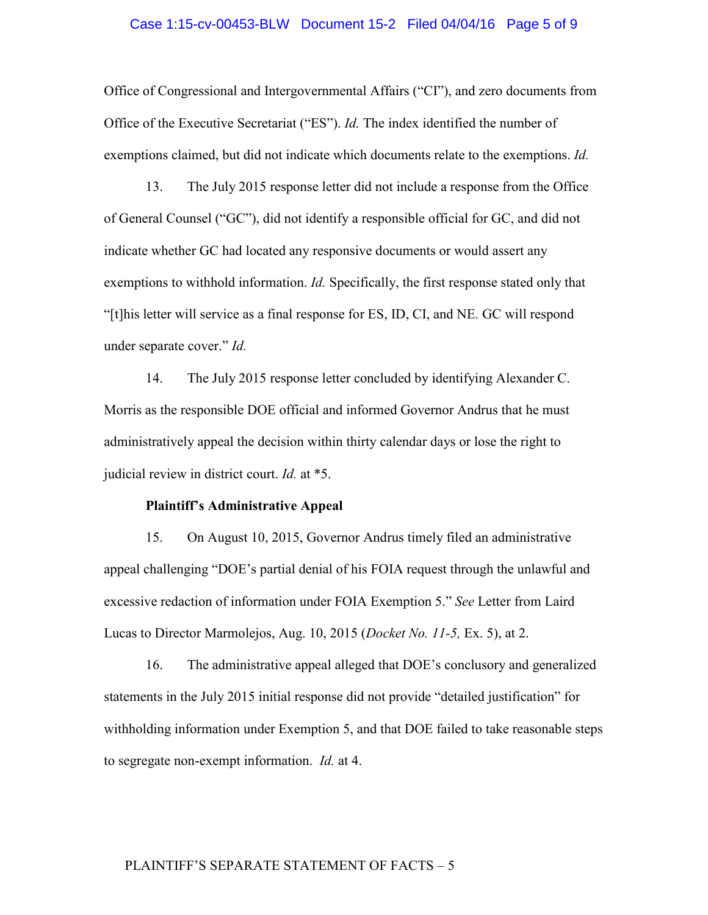#### Case 1:15-cv-00453-BLW Document 15-2 Filed 04/04/16 Page 5 of 9

Office of Congressional and Intergovernmental Affairs ("CI"), and zero documents from Office of the Executive Secretariat ("ES"). *Id.* The index identified the number of exemptions claimed, but did not indicate which documents relate to the exemptions. *Id.*

13. The July 2015 response letter did not include a response from the Office of General Counsel ("GC"), did not identify a responsible official for GC, and did not indicate whether GC had located any responsive documents or would assert any exemptions to withhold information. *Id.* Specifically, the first response stated only that "[t]his letter will service as a final response for ES, ID, CI, and NE. GC will respond under separate cover." *Id.*

14. The July 2015 response letter concluded by identifying Alexander C. Morris as the responsible DOE official and informed Governor Andrus that he must administratively appeal the decision within thirty calendar days or lose the right to judicial review in district court. *Id.* at \*5.

#### **Plaintiff's Administrative Appeal**

15. On August 10, 2015, Governor Andrus timely filed an administrative appeal challenging "DOE's partial denial of his FOIA request through the unlawful and excessive redaction of information under FOIA Exemption 5." *See* Letter from Laird Lucas to Director Marmolejos, Aug. 10, 2015 (*Docket No. 11-5,* Ex. 5), at 2.

16. The administrative appeal alleged that DOE's conclusory and generalized statements in the July 2015 initial response did not provide "detailed justification" for withholding information under Exemption 5, and that DOE failed to take reasonable steps to segregate non-exempt information. *Id.* at 4.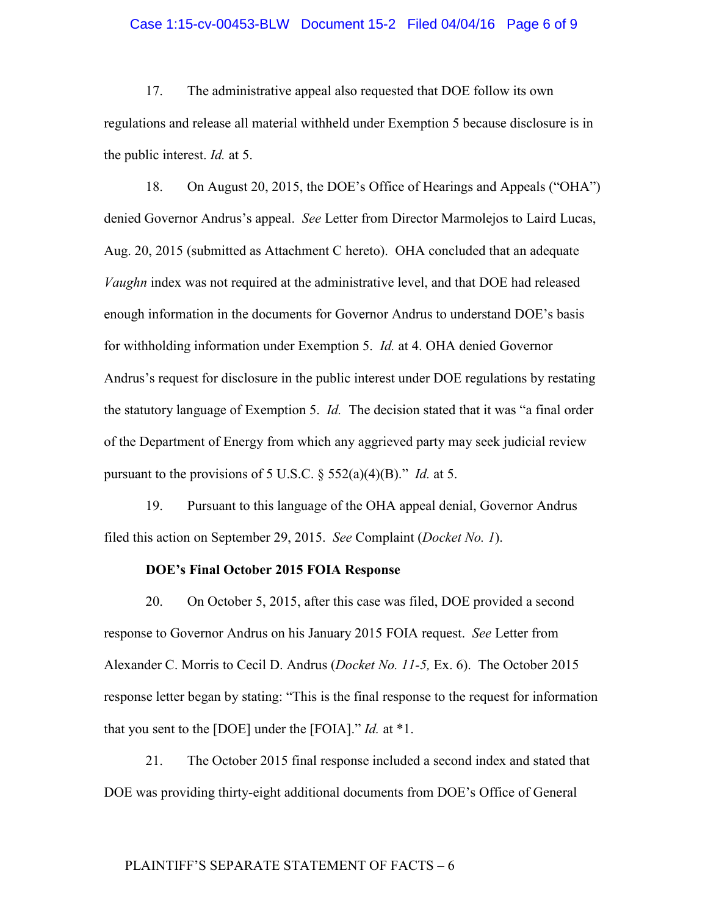### Case 1:15-cv-00453-BLW Document 15-2 Filed 04/04/16 Page 6 of 9

17. The administrative appeal also requested that DOE follow its own regulations and release all material withheld under Exemption 5 because disclosure is in the public interest. *Id.* at 5.

18. On August 20, 2015, the DOE's Office of Hearings and Appeals ("OHA") denied Governor Andrus's appeal. *See* Letter from Director Marmolejos to Laird Lucas, Aug. 20, 2015 (submitted as Attachment C hereto). OHA concluded that an adequate *Vaughn* index was not required at the administrative level, and that DOE had released enough information in the documents for Governor Andrus to understand DOE's basis for withholding information under Exemption 5. *Id.* at 4. OHA denied Governor Andrus's request for disclosure in the public interest under DOE regulations by restating the statutory language of Exemption 5. *Id.* The decision stated that it was "a final order of the Department of Energy from which any aggrieved party may seek judicial review pursuant to the provisions of 5 U.S.C. § 552(a)(4)(B)." *Id.* at 5.

19. Pursuant to this language of the OHA appeal denial, Governor Andrus filed this action on September 29, 2015. *See* Complaint (*Docket No. 1*).

#### **DOE's Final October 2015 FOIA Response**

20. On October 5, 2015, after this case was filed, DOE provided a second response to Governor Andrus on his January 2015 FOIA request. *See* Letter from Alexander C. Morris to Cecil D. Andrus (*Docket No. 11-5,* Ex. 6). The October 2015 response letter began by stating: "This is the final response to the request for information that you sent to the [DOE] under the [FOIA]." *Id.* at \*1.

21. The October 2015 final response included a second index and stated that DOE was providing thirty-eight additional documents from DOE's Office of General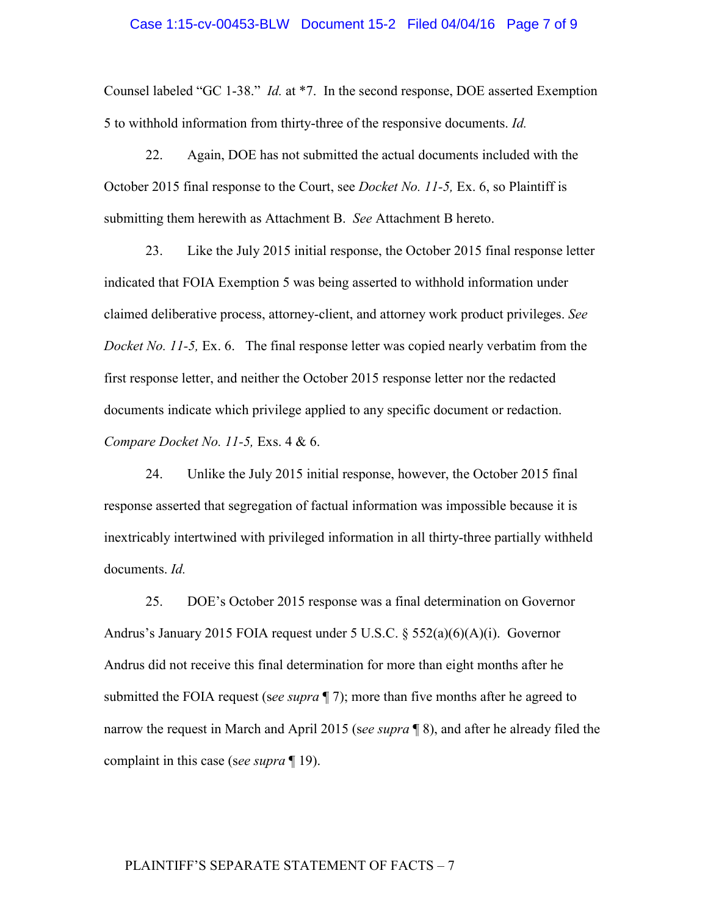#### Case 1:15-cv-00453-BLW Document 15-2 Filed 04/04/16 Page 7 of 9

Counsel labeled "GC 1-38." *Id.* at \*7. In the second response, DOE asserted Exemption 5 to withhold information from thirty-three of the responsive documents. *Id.*

22. Again, DOE has not submitted the actual documents included with the October 2015 final response to the Court, see *Docket No. 11-5,* Ex. 6, so Plaintiff is submitting them herewith as Attachment B. *See* Attachment B hereto.

23. Like the July 2015 initial response, the October 2015 final response letter indicated that FOIA Exemption 5 was being asserted to withhold information under claimed deliberative process, attorney-client, and attorney work product privileges. *See Docket No. 11-5, Ex. 6.* The final response letter was copied nearly verbatim from the first response letter, and neither the October 2015 response letter nor the redacted documents indicate which privilege applied to any specific document or redaction. *Compare Docket No. 11-5,* Exs. 4 & 6.

24. Unlike the July 2015 initial response, however, the October 2015 final response asserted that segregation of factual information was impossible because it is inextricably intertwined with privileged information in all thirty-three partially withheld documents. *Id.*

25. DOE's October 2015 response was a final determination on Governor Andrus's January 2015 FOIA request under 5 U.S.C. § 552(a)(6)(A)(i). Governor Andrus did not receive this final determination for more than eight months after he submitted the FOIA request (s*ee supra* ¶ 7); more than five months after he agreed to narrow the request in March and April 2015 (s*ee supra* ¶ 8), and after he already filed the complaint in this case (s*ee supra* ¶ 19).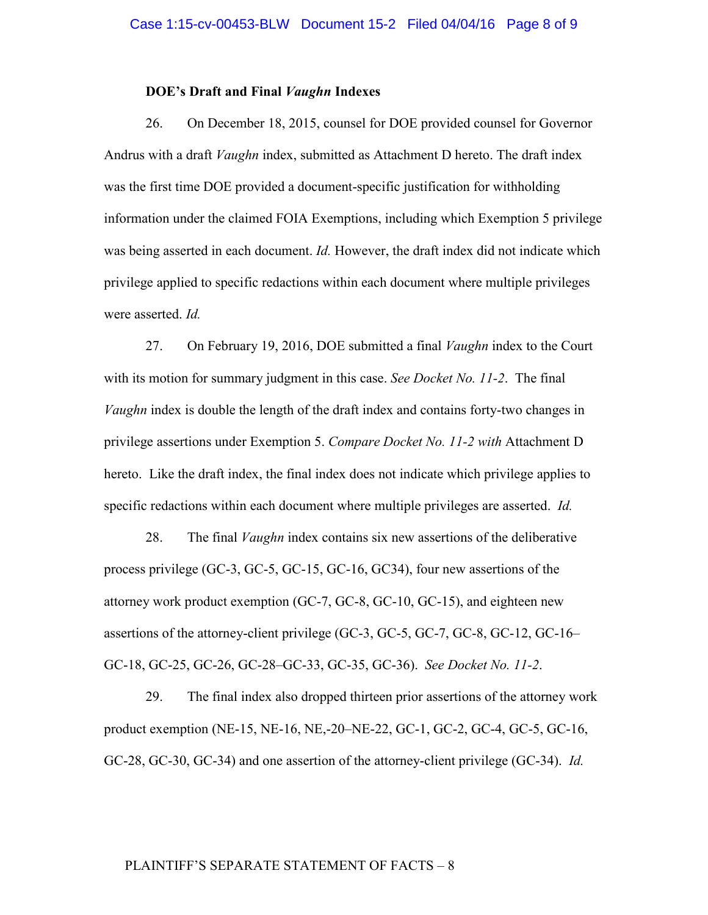### **DOE's Draft and Final** *Vaughn* **Indexes**

26. On December 18, 2015, counsel for DOE provided counsel for Governor Andrus with a draft *Vaughn* index, submitted as Attachment D hereto. The draft index was the first time DOE provided a document-specific justification for withholding information under the claimed FOIA Exemptions, including which Exemption 5 privilege was being asserted in each document. *Id.* However, the draft index did not indicate which privilege applied to specific redactions within each document where multiple privileges were asserted. *Id.*

27. On February 19, 2016, DOE submitted a final *Vaughn* index to the Court with its motion for summary judgment in this case. *See Docket No. 11-2*. The final *Vaughn* index is double the length of the draft index and contains forty-two changes in privilege assertions under Exemption 5. *Compare Docket No. 11-2 with* Attachment D hereto. Like the draft index, the final index does not indicate which privilege applies to specific redactions within each document where multiple privileges are asserted. *Id.*

28. The final *Vaughn* index contains six new assertions of the deliberative process privilege (GC-3, GC-5, GC-15, GC-16, GC34), four new assertions of the attorney work product exemption (GC-7, GC-8, GC-10, GC-15), and eighteen new assertions of the attorney-client privilege (GC-3, GC-5, GC-7, GC-8, GC-12, GC-16– GC-18, GC-25, GC-26, GC-28–GC-33, GC-35, GC-36). *See Docket No. 11-2*.

29. The final index also dropped thirteen prior assertions of the attorney work product exemption (NE-15, NE-16, NE,-20–NE-22, GC-1, GC-2, GC-4, GC-5, GC-16, GC-28, GC-30, GC-34) and one assertion of the attorney-client privilege (GC-34). *Id.*